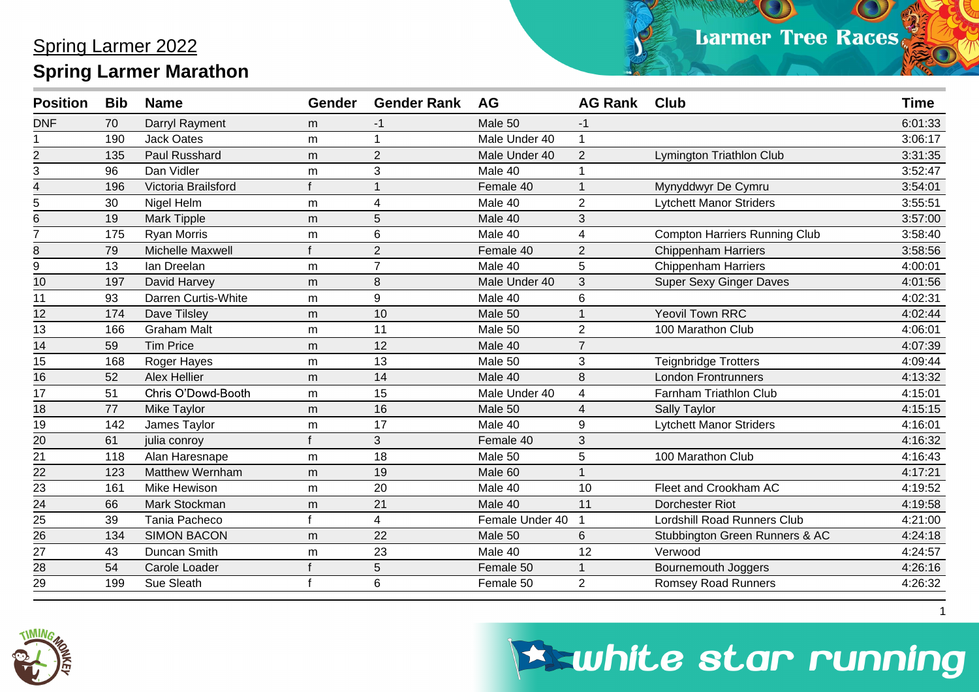| <b>Position</b> | <b>Bib</b> | <b>Name</b>            | <b>Gender</b> | <b>Gender Rank</b>      | <b>AG</b>       | <b>AG Rank</b> | <b>Club</b>                          | <b>Time</b> |
|-----------------|------------|------------------------|---------------|-------------------------|-----------------|----------------|--------------------------------------|-------------|
| <b>DNF</b>      | 70         | Darryl Rayment         | m             | $-1$                    | Male 50         | -1             |                                      | 6:01:33     |
|                 | 190        | <b>Jack Oates</b>      | m             | 1                       | Male Under 40   |                |                                      | 3:06:17     |
| $\overline{c}$  | 135        | Paul Russhard          | m             | $\overline{2}$          | Male Under 40   | $\overline{2}$ | Lymington Triathlon Club             | 3:31:35     |
| 3               | 96         | Dan Vidler             | m             | 3                       | Male 40         |                |                                      | 3:52:47     |
| 4               | 196        | Victoria Brailsford    |               |                         | Female 40       |                | Mynyddwyr De Cymru                   | 3:54:01     |
| 5               | 30         | Nigel Helm             | m             | $\overline{\mathbf{4}}$ | Male 40         | $\overline{2}$ | <b>Lytchett Manor Striders</b>       | 3:55:51     |
| 6               | 19         | <b>Mark Tipple</b>     | m             | 5                       | Male 40         | 3              |                                      | 3:57:00     |
| $\overline{7}$  | 175        | <b>Ryan Morris</b>     | m             | 6                       | Male 40         | 4              | <b>Compton Harriers Running Club</b> | 3:58:40     |
| 8               | 79         | Michelle Maxwell       |               | $\overline{2}$          | Female 40       | 2              | <b>Chippenham Harriers</b>           | 3:58:56     |
| 9               | 13         | Ian Dreelan            | m             | $\overline{7}$          | Male 40         | 5              | <b>Chippenham Harriers</b>           | 4:00:01     |
| 10              | 197        | David Harvey           | m             | 8                       | Male Under 40   | 3              | <b>Super Sexy Ginger Daves</b>       | 4:01:56     |
| 11              | 93         | Darren Curtis-White    | m             | 9                       | Male 40         | 6              |                                      | 4:02:31     |
| 12              | 174        | Dave Tilsley           | m             | 10                      | Male 50         |                | <b>Yeovil Town RRC</b>               | 4:02:44     |
| 13              | 166        | <b>Graham Malt</b>     | m             | 11                      | Male 50         | $\overline{2}$ | 100 Marathon Club                    | 4:06:01     |
| 14              | 59         | <b>Tim Price</b>       | m             | 12                      | Male 40         | $\overline{7}$ |                                      | 4:07:39     |
| 15              | 168        | Roger Hayes            | m             | 13                      | Male 50         | 3              | <b>Teignbridge Trotters</b>          | 4:09:44     |
| 16              | 52         | Alex Hellier           | m             | 14                      | Male 40         | 8              | <b>London Frontrunners</b>           | 4:13:32     |
| 17              | 51         | Chris O'Dowd-Booth     | m             | 15                      | Male Under 40   | 4              | Farnham Triathlon Club               | 4:15:01     |
| 18              | 77         | Mike Taylor            | m             | 16                      | Male 50         | 4              | <b>Sally Taylor</b>                  | 4:15:15     |
| 19              | 142        | James Taylor           | m             | 17                      | Male 40         | 9              | <b>Lytchett Manor Striders</b>       | 4:16:01     |
| $\overline{20}$ | 61         | julia conroy           |               | 3                       | Female 40       | 3              |                                      | 4:16:32     |
| 21              | 118        | Alan Haresnape         | m             | 18                      | Male 50         | 5              | 100 Marathon Club                    | 4:16:43     |
| 22              | 123        | <b>Matthew Wernham</b> | m             | 19                      | Male 60         |                |                                      | 4:17:21     |
| 23              | 161        | Mike Hewison           | m             | 20                      | Male 40         | 10             | Fleet and Crookham AC                | 4:19:52     |
| 24              | 66         | Mark Stockman          | m             | 21                      | Male 40         | 11             | Dorchester Riot                      | 4:19:58     |
| 25              | 39         | Tania Pacheco          |               | 4                       | Female Under 40 |                | Lordshill Road Runners Club          | 4:21:00     |
| 26              | 134        | <b>SIMON BACON</b>     | m             | 22                      | Male 50         | 6              | Stubbington Green Runners & AC       | 4:24:18     |
| $\overline{27}$ | 43         | Duncan Smith           | m             | 23                      | Male 40         | 12             | Verwood                              | 4:24:57     |
| 28              | 54         | Carole Loader          |               | 5                       | Female 50       |                | <b>Bournemouth Joggers</b>           | 4:26:16     |
| $\overline{29}$ | 199        | Sue Sleath             |               | 6                       | Female 50       | $\overline{2}$ | <b>Romsey Road Runners</b>           | 4:26:32     |



## **Eswhite star running**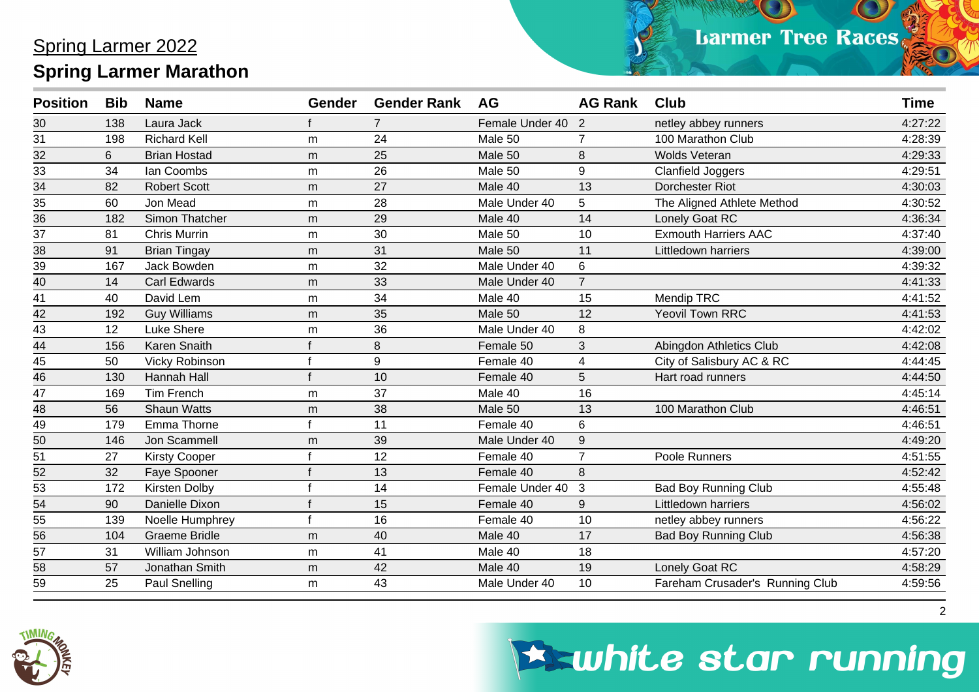| <b>Position</b> | <b>Bib</b> | <b>Name</b>          | Gender | <b>Gender Rank</b> | <b>AG</b>       | <b>AG Rank</b> | <b>Club</b>                     | <b>Time</b> |
|-----------------|------------|----------------------|--------|--------------------|-----------------|----------------|---------------------------------|-------------|
| 30              | 138        | Laura Jack           |        | $\overline{7}$     | Female Under 40 | 2              | netley abbey runners            | 4:27:22     |
| 31              | 198        | <b>Richard Kell</b>  | m      | 24                 | Male 50         | $\overline{7}$ | 100 Marathon Club               | 4:28:39     |
| 32              | 6          | <b>Brian Hostad</b>  | m      | 25                 | Male 50         | 8              | <b>Wolds Veteran</b>            | 4:29:33     |
| 33              | 34         | Ian Coombs           | m      | 26                 | Male 50         | 9              | <b>Clanfield Joggers</b>        | 4:29:51     |
| $\overline{34}$ | 82         | <b>Robert Scott</b>  | m      | 27                 | Male 40         | 13             | Dorchester Riot                 | 4:30:03     |
| 35              | 60         | Jon Mead             | m      | 28                 | Male Under 40   | 5              | The Aligned Athlete Method      | 4:30:52     |
| $\overline{36}$ | 182        | Simon Thatcher       | m      | 29                 | Male 40         | 14             | Lonely Goat RC                  | 4:36:34     |
| $\overline{37}$ | 81         | <b>Chris Murrin</b>  | m      | 30                 | Male 50         | 10             | <b>Exmouth Harriers AAC</b>     | 4:37:40     |
| 38              | 91         | <b>Brian Tingay</b>  | m      | 31                 | Male 50         | 11             | Littledown harriers             | 4:39:00     |
| $\overline{39}$ | 167        | Jack Bowden          | m      | 32                 | Male Under 40   | 6              |                                 | 4:39:32     |
| $\frac{40}{41}$ | 14         | <b>Carl Edwards</b>  | m      | 33                 | Male Under 40   | $\overline{7}$ |                                 | 4:41:33     |
|                 | 40         | David Lem            | m      | 34                 | Male 40         | 15             | Mendip TRC                      | 4:41:52     |
| $\frac{42}{1}$  | 192        | <b>Guy Williams</b>  | m      | 35                 | Male 50         | 12             | <b>Yeovil Town RRC</b>          | 4:41:53     |
| $\overline{43}$ | 12         | Luke Shere           | m      | 36                 | Male Under 40   | 8              |                                 | 4:42:02     |
| $\frac{44}{45}$ | 156        | Karen Snaith         |        | 8                  | Female 50       | 3              | Abingdon Athletics Club         | 4:42:08     |
|                 | 50         | Vicky Robinson       |        | $\boldsymbol{9}$   | Female 40       | 4              | City of Salisbury AC & RC       | 4:44:45     |
| $\overline{46}$ | 130        | Hannah Hall          |        | 10                 | Female 40       | 5              | Hart road runners               | 4:44:50     |
| $\overline{47}$ | 169        | Tim French           | m      | 37                 | Male 40         | 16             |                                 | 4:45:14     |
| $\frac{48}{49}$ | 56         | <b>Shaun Watts</b>   | m      | 38                 | Male 50         | 13             | 100 Marathon Club               | 4:46:51     |
|                 | 179        | Emma Thorne          |        | 11                 | Female 40       | 6              |                                 | 4:46:51     |
| 50              | 146        | Jon Scammell         | m      | 39                 | Male Under 40   | 9              |                                 | 4:49:20     |
| 51              | 27         | <b>Kirsty Cooper</b> |        | 12                 | Female 40       | $\overline{7}$ | Poole Runners                   | 4:51:55     |
| 52              | 32         | Faye Spooner         |        | 13                 | Female 40       | 8              |                                 | 4:52:42     |
| $\overline{53}$ | 172        | Kirsten Dolby        |        | 14                 | Female Under 40 | 3              | <b>Bad Boy Running Club</b>     | 4:55:48     |
| 54              | 90         | Danielle Dixon       |        | 15                 | Female 40       | 9              | Littledown harriers             | 4:56:02     |
| 55              | 139        | Noelle Humphrey      |        | 16                 | Female 40       | 10             | netley abbey runners            | 4:56:22     |
| 56              | 104        | <b>Graeme Bridle</b> | m      | 40                 | Male 40         | 17             | <b>Bad Boy Running Club</b>     | 4:56:38     |
| 57              | 31         | William Johnson      | m      | 41                 | Male 40         | 18             |                                 | 4:57:20     |
| 58              | 57         | Jonathan Smith       | m      | 42                 | Male 40         | 19             | Lonely Goat RC                  | 4:58:29     |
| 59              | 25         | <b>Paul Snelling</b> | m      | 43                 | Male Under 40   | 10             | Fareham Crusader's Running Club | 4:59:56     |



### **Eswhite star running**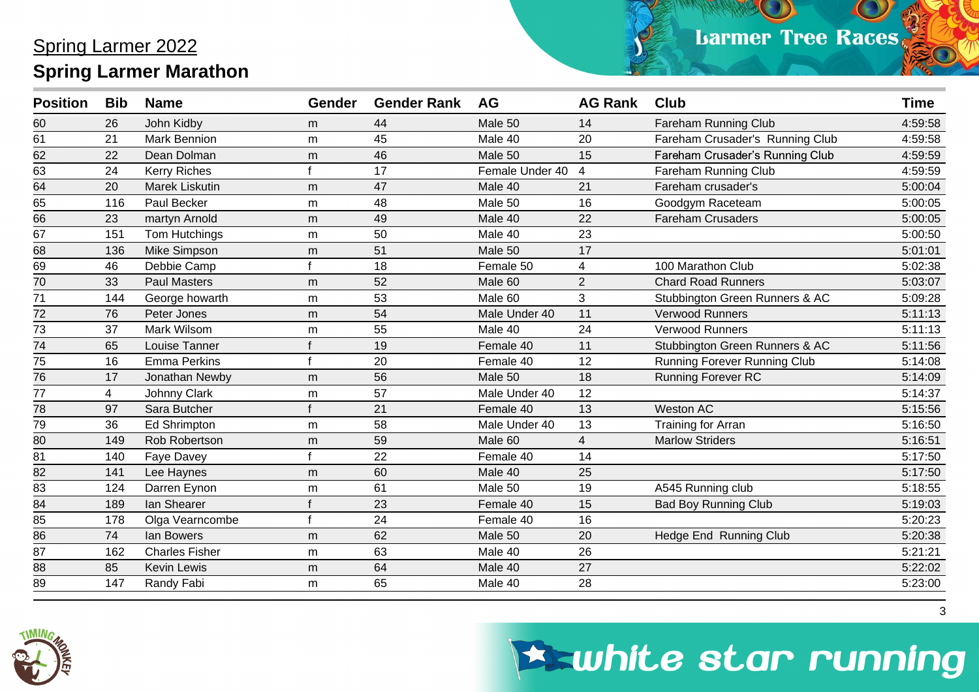| <b>Position</b> | <b>Bib</b>     | <b>Name</b>           | Gender | <b>Gender Rank</b> | <b>AG</b>       | <b>AG Rank</b> | <b>Club</b>                     | <b>Time</b> |
|-----------------|----------------|-----------------------|--------|--------------------|-----------------|----------------|---------------------------------|-------------|
| 60              | 26             | John Kidby            | m      | 44                 | Male 50         | 14             | <b>Fareham Running Club</b>     | 4:59:58     |
| 61              | 21             | <b>Mark Bennion</b>   | m      | 45                 | Male 40         | 20             | Fareham Crusader's Running Club | 4:59:58     |
| 62              | 22             | Dean Dolman           | m      | 46                 | Male 50         | 15             | Fareham Crusader's Running Club | 4:59:59     |
| 63              | 24             | <b>Kerry Riches</b>   |        | 17                 | Female Under 40 | $\overline{4}$ | Fareham Running Club            | 4:59:59     |
| 64              | 20             | Marek Liskutin        | m      | 47                 | Male 40         | 21             | Fareham crusader's              | 5:00:04     |
| 65              | 116            | Paul Becker           | m      | 48                 | Male 50         | 16             | Goodgym Raceteam                | 5:00:05     |
| 66              | 23             | martyn Arnold         | m      | 49                 | Male 40         | 22             | <b>Fareham Crusaders</b>        | 5:00:05     |
| $\overline{67}$ | 151            | Tom Hutchings         | m      | 50                 | Male 40         | 23             |                                 | 5:00:50     |
| 68              | 136            | Mike Simpson          | m      | 51                 | Male 50         | 17             |                                 | 5:01:01     |
| 69              | 46             | Debbie Camp           |        | 18                 | Female 50       | 4              | 100 Marathon Club               | 5:02:38     |
| $\overline{70}$ | 33             | <b>Paul Masters</b>   | m      | 52                 | Male 60         | $\overline{2}$ | <b>Chard Road Runners</b>       | 5:03:07     |
| 71              | 144            | George howarth        | m      | 53                 | Male 60         | 3              | Stubbington Green Runners & AC  | 5:09:28     |
| 72              | 76             | Peter Jones           | m      | 54                 | Male Under 40   | 11             | Verwood Runners                 | 5:11:13     |
| 73              | 37             | Mark Wilsom           | m      | 55                 | Male 40         | 24             | Verwood Runners                 | 5:11:13     |
| $\overline{74}$ | 65             | Louise Tanner         |        | 19                 | Female 40       | 11             | Stubbington Green Runners & AC  | 5:11:56     |
| 75              | 16             | <b>Emma Perkins</b>   |        | 20                 | Female 40       | 12             | Running Forever Running Club    | 5:14:08     |
| $\overline{76}$ | 17             | Jonathan Newby        | m      | 56                 | Male 50         | 18             | Running Forever RC              | 5:14:09     |
| 77              | $\overline{4}$ | Johnny Clark          | m      | 57                 | Male Under 40   | 12             |                                 | 5:14:37     |
| 78              | 97             | Sara Butcher          |        | 21                 | Female 40       | 13             | Weston AC                       | 5:15:56     |
| 79              | 36             | <b>Ed Shrimpton</b>   | m      | 58                 | Male Under 40   | 13             | <b>Training for Arran</b>       | 5:16:50     |
| 80              | 149            | <b>Rob Robertson</b>  | m      | 59                 | Male 60         | $\overline{4}$ | <b>Marlow Striders</b>          | 5:16:51     |
| 81              | 140            | Faye Davey            |        | 22                 | Female 40       | 14             |                                 | 5:17:50     |
| 82              | 141            | Lee Haynes            | m      | 60                 | Male 40         | 25             |                                 | 5:17:50     |
| 83              | 124            | Darren Eynon          | m      | 61                 | Male 50         | 19             | A545 Running club               | 5:18:55     |
| 84              | 189            | lan Shearer           |        | 23                 | Female 40       | 15             | <b>Bad Boy Running Club</b>     | 5:19:03     |
| 85              | 178            | Olga Vearncombe       |        | 24                 | Female 40       | 16             |                                 | 5:20:23     |
| 86              | 74             | lan Bowers            | m      | 62                 | Male 50         | 20             | Hedge End Running Club          | 5:20:38     |
| 87              | 162            | <b>Charles Fisher</b> | m      | 63                 | Male 40         | 26             |                                 | 5:21:21     |
| 88              | 85             | <b>Kevin Lewis</b>    | m      | 64                 | Male 40         | 27             |                                 | 5:22:02     |
| $\overline{89}$ | 147            | Randy Fabi            | m      | 65                 | Male 40         | 28             |                                 | 5:23:00     |



# **Eswhite star running**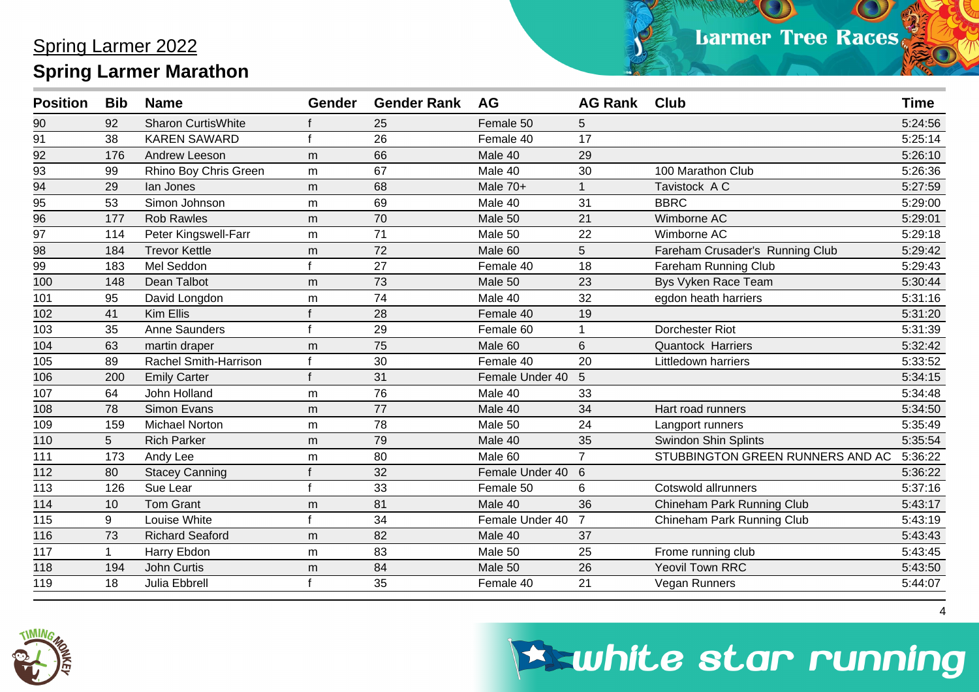| <b>Position</b> | <b>Bib</b>  | <b>Name</b>               | Gender | <b>Gender Rank</b> | <b>AG</b>       | <b>AG Rank</b> | <b>Club</b>                      | <b>Time</b> |
|-----------------|-------------|---------------------------|--------|--------------------|-----------------|----------------|----------------------------------|-------------|
| 90              | 92          | <b>Sharon CurtisWhite</b> |        | 25                 | Female 50       | 5              |                                  | 5:24:56     |
| $\overline{91}$ | 38          | <b>KAREN SAWARD</b>       |        | 26                 | Female 40       | 17             |                                  | 5:25:14     |
| $\frac{92}{2}$  | 176         | Andrew Leeson             | m      | 66                 | Male 40         | 29             |                                  | 5:26:10     |
| 93              | 99          | Rhino Boy Chris Green     | m      | 67                 | Male 40         | 30             | 100 Marathon Club                | 5:26:36     |
| 94              | 29          | lan Jones                 | m      | 68                 | Male 70+        |                | Tavistock A C                    | 5:27:59     |
| 95              | 53          | Simon Johnson             | m      | 69                 | Male 40         | 31             | <b>BBRC</b>                      | 5:29:00     |
| 96              | 177         | <b>Rob Rawles</b>         | m      | 70                 | Male 50         | 21             | Wimborne AC                      | 5:29:01     |
| 97              | 114         | Peter Kingswell-Farr      | m      | 71                 | Male 50         | 22             | Wimborne AC                      | 5:29:18     |
| 98              | 184         | <b>Trevor Kettle</b>      | m      | 72                 | Male 60         | 5              | Fareham Crusader's Running Club  | 5:29:42     |
| 99              | 183         | Mel Seddon                |        | 27                 | Female 40       | 18             | Fareham Running Club             | 5:29:43     |
| 100             | 148         | Dean Talbot               | m      | 73                 | Male 50         | 23             | Bys Vyken Race Team              | 5:30:44     |
| 101             | 95          | David Longdon             | m      | 74                 | Male 40         | 32             | egdon heath harriers             | 5:31:16     |
| 102             | 41          | Kim Ellis                 |        | 28                 | Female 40       | 19             |                                  | 5:31:20     |
| 103             | 35          | Anne Saunders             |        | 29                 | Female 60       |                | Dorchester Riot                  | 5:31:39     |
| 104             | 63          | martin draper             | m      | 75                 | Male 60         | 6              | <b>Quantock Harriers</b>         | 5:32:42     |
| 105             | 89          | Rachel Smith-Harrison     |        | 30                 | Female 40       | 20             | Littledown harriers              | 5:33:52     |
| 106             | 200         | <b>Emily Carter</b>       |        | 31                 | Female Under 40 | 5              |                                  | 5:34:15     |
| 107             | 64          | John Holland              | m      | 76                 | Male 40         | 33             |                                  | 5:34:48     |
| 108             | 78          | Simon Evans               | m      | 77                 | Male 40         | 34             | Hart road runners                | 5:34:50     |
| 109             | 159         | <b>Michael Norton</b>     | m      | 78                 | Male 50         | 24             | Langport runners                 | 5:35:49     |
| 110             | 5           | <b>Rich Parker</b>        | m      | 79                 | Male 40         | 35             | Swindon Shin Splints             | 5:35:54     |
| 111             | 173         | Andy Lee                  | m      | 80                 | Male 60         | $\overline{7}$ | STUBBINGTON GREEN RUNNERS AND AC | 5:36:22     |
| 112             | 80          | <b>Stacey Canning</b>     |        | 32                 | Female Under 40 | 6              |                                  | 5:36:22     |
| 113             | 126         | Sue Lear                  |        | 33                 | Female 50       | 6              | Cotswold allrunners              | 5:37:16     |
| 114             | 10          | <b>Tom Grant</b>          | m      | 81                 | Male 40         | 36             | Chineham Park Running Club       | 5:43:17     |
| 115             | 9           | Louise White              |        | 34                 | Female Under 40 | $\overline{7}$ | Chineham Park Running Club       | 5:43:19     |
| 116             | 73          | <b>Richard Seaford</b>    | m      | 82                 | Male 40         | 37             |                                  | 5:43:43     |
| 117             | $\mathbf 1$ | Harry Ebdon               | m      | 83                 | Male 50         | 25             | Frome running club               | 5:43:45     |
| 118             | 194         | John Curtis               | m      | 84                 | Male 50         | 26             | <b>Yeovil Town RRC</b>           | 5:43:50     |
| 119             | 18          | Julia Ebbrell             |        | 35                 | Female 40       | 21             | Vegan Runners                    | 5:44:07     |



# **Eswhite star running**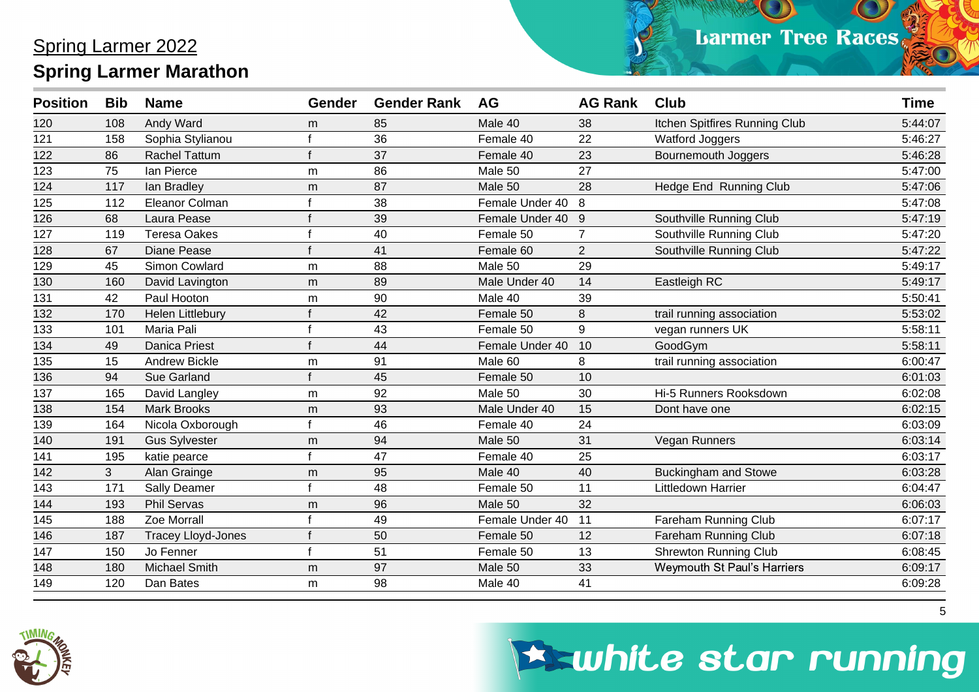| Andy Ward<br>Male 40<br>Itchen Spitfires Running Club<br>120<br>108<br>85<br>38<br>m<br>121<br>36<br>22<br>Sophia Stylianou<br>158<br>Female 40<br>Watford Joggers<br>37<br>122<br>86<br><b>Rachel Tattum</b><br>Female 40<br>23<br>Bournemouth Joggers<br>lan Pierce<br>123<br>86<br>Male 50<br>27<br>75<br>m<br>124<br>87<br>28<br>Hedge End Running Club<br>Male 50<br>117<br>lan Bradley<br>m<br>125<br>38<br>Eleanor Colman<br>Female Under 40<br>112<br>8<br>126<br>68<br>Laura Pease<br>39<br>Female Under 40<br>9<br>Southville Running Club<br>127<br><b>Teresa Oakes</b><br>40<br>Female 50<br>Southville Running Club<br>119<br>$\overline{7}$<br>Southville Running Club<br>128<br>67<br>Diane Pease<br>41<br>Female 60<br>$\overline{2}$<br>29<br>129<br>Simon Cowlard<br>88<br>45<br>Male 50<br>m<br>130<br>89<br>14<br>160<br>Male Under 40<br>Eastleigh RC<br>David Lavington<br>m<br>131<br>Paul Hooton<br>90<br>Male 40<br>39<br>42<br>m<br>42<br>8<br>132<br>170<br>Female 50<br>trail running association<br>Helen Littlebury<br>133<br>Maria Pali<br>43<br>Female 50<br>9<br>101 | <b>Position</b> | <b>Bib</b> | <b>Name</b> | Gender | <b>Gender Rank</b> | <b>AG</b> | <b>AG Rank</b> | <b>Club</b>      | <b>Time</b> |
|-------------------------------------------------------------------------------------------------------------------------------------------------------------------------------------------------------------------------------------------------------------------------------------------------------------------------------------------------------------------------------------------------------------------------------------------------------------------------------------------------------------------------------------------------------------------------------------------------------------------------------------------------------------------------------------------------------------------------------------------------------------------------------------------------------------------------------------------------------------------------------------------------------------------------------------------------------------------------------------------------------------------------------------------------------------------------------------------------------|-----------------|------------|-------------|--------|--------------------|-----------|----------------|------------------|-------------|
|                                                                                                                                                                                                                                                                                                                                                                                                                                                                                                                                                                                                                                                                                                                                                                                                                                                                                                                                                                                                                                                                                                       |                 |            |             |        |                    |           |                |                  | 5:44:07     |
|                                                                                                                                                                                                                                                                                                                                                                                                                                                                                                                                                                                                                                                                                                                                                                                                                                                                                                                                                                                                                                                                                                       |                 |            |             |        |                    |           |                |                  | 5:46:27     |
|                                                                                                                                                                                                                                                                                                                                                                                                                                                                                                                                                                                                                                                                                                                                                                                                                                                                                                                                                                                                                                                                                                       |                 |            |             |        |                    |           |                |                  | 5:46:28     |
|                                                                                                                                                                                                                                                                                                                                                                                                                                                                                                                                                                                                                                                                                                                                                                                                                                                                                                                                                                                                                                                                                                       |                 |            |             |        |                    |           |                |                  | 5:47:00     |
|                                                                                                                                                                                                                                                                                                                                                                                                                                                                                                                                                                                                                                                                                                                                                                                                                                                                                                                                                                                                                                                                                                       |                 |            |             |        |                    |           |                |                  | 5:47:06     |
|                                                                                                                                                                                                                                                                                                                                                                                                                                                                                                                                                                                                                                                                                                                                                                                                                                                                                                                                                                                                                                                                                                       |                 |            |             |        |                    |           |                |                  | 5:47:08     |
|                                                                                                                                                                                                                                                                                                                                                                                                                                                                                                                                                                                                                                                                                                                                                                                                                                                                                                                                                                                                                                                                                                       |                 |            |             |        |                    |           |                |                  | 5:47:19     |
|                                                                                                                                                                                                                                                                                                                                                                                                                                                                                                                                                                                                                                                                                                                                                                                                                                                                                                                                                                                                                                                                                                       |                 |            |             |        |                    |           |                |                  | 5:47:20     |
|                                                                                                                                                                                                                                                                                                                                                                                                                                                                                                                                                                                                                                                                                                                                                                                                                                                                                                                                                                                                                                                                                                       |                 |            |             |        |                    |           |                |                  | 5:47:22     |
|                                                                                                                                                                                                                                                                                                                                                                                                                                                                                                                                                                                                                                                                                                                                                                                                                                                                                                                                                                                                                                                                                                       |                 |            |             |        |                    |           |                |                  | 5:49:17     |
|                                                                                                                                                                                                                                                                                                                                                                                                                                                                                                                                                                                                                                                                                                                                                                                                                                                                                                                                                                                                                                                                                                       |                 |            |             |        |                    |           |                |                  | 5:49:17     |
|                                                                                                                                                                                                                                                                                                                                                                                                                                                                                                                                                                                                                                                                                                                                                                                                                                                                                                                                                                                                                                                                                                       |                 |            |             |        |                    |           |                |                  | 5:50:41     |
|                                                                                                                                                                                                                                                                                                                                                                                                                                                                                                                                                                                                                                                                                                                                                                                                                                                                                                                                                                                                                                                                                                       |                 |            |             |        |                    |           |                |                  | 5:53:02     |
|                                                                                                                                                                                                                                                                                                                                                                                                                                                                                                                                                                                                                                                                                                                                                                                                                                                                                                                                                                                                                                                                                                       |                 |            |             |        |                    |           |                | vegan runners UK | 5:58:11     |
| 134<br><b>Danica Priest</b><br>44<br>Female Under 40<br>10<br>GoodGym<br>49                                                                                                                                                                                                                                                                                                                                                                                                                                                                                                                                                                                                                                                                                                                                                                                                                                                                                                                                                                                                                           |                 |            |             |        |                    |           |                |                  | 5:58:11     |
| 135<br>15<br><b>Andrew Bickle</b><br>91<br>Male 60<br>8<br>trail running association<br>m                                                                                                                                                                                                                                                                                                                                                                                                                                                                                                                                                                                                                                                                                                                                                                                                                                                                                                                                                                                                             |                 |            |             |        |                    |           |                |                  | 6:00:47     |
| 136<br>94<br>Sue Garland<br>45<br>Female 50<br>10                                                                                                                                                                                                                                                                                                                                                                                                                                                                                                                                                                                                                                                                                                                                                                                                                                                                                                                                                                                                                                                     |                 |            |             |        |                    |           |                |                  | 6:01:03     |
| 137<br>92<br>30<br>Male 50<br>Hi-5 Runners Rooksdown<br>165<br>David Langley<br>m                                                                                                                                                                                                                                                                                                                                                                                                                                                                                                                                                                                                                                                                                                                                                                                                                                                                                                                                                                                                                     |                 |            |             |        |                    |           |                |                  | 6:02:08     |
| 93<br>138<br><b>Mark Brooks</b><br>Male Under 40<br>15<br>154<br>Dont have one<br>m                                                                                                                                                                                                                                                                                                                                                                                                                                                                                                                                                                                                                                                                                                                                                                                                                                                                                                                                                                                                                   |                 |            |             |        |                    |           |                |                  | 6:02:15     |
| 24<br>139<br>Nicola Oxborough<br>46<br>Female 40<br>164                                                                                                                                                                                                                                                                                                                                                                                                                                                                                                                                                                                                                                                                                                                                                                                                                                                                                                                                                                                                                                               |                 |            |             |        |                    |           |                |                  | 6:03:09     |
| 31<br>140<br>94<br>Male 50<br>Vegan Runners<br>191<br><b>Gus Sylvester</b><br>m                                                                                                                                                                                                                                                                                                                                                                                                                                                                                                                                                                                                                                                                                                                                                                                                                                                                                                                                                                                                                       |                 |            |             |        |                    |           |                |                  | 6:03:14     |
| 47<br>25<br>141<br>195<br>Female 40<br>katie pearce                                                                                                                                                                                                                                                                                                                                                                                                                                                                                                                                                                                                                                                                                                                                                                                                                                                                                                                                                                                                                                                   |                 |            |             |        |                    |           |                |                  | 6:03:17     |
| 142<br>3<br>Alan Grainge<br>95<br>Male 40<br>40<br><b>Buckingham and Stowe</b><br>m                                                                                                                                                                                                                                                                                                                                                                                                                                                                                                                                                                                                                                                                                                                                                                                                                                                                                                                                                                                                                   |                 |            |             |        |                    |           |                |                  | 6:03:28     |
| 143<br>11<br>171<br>48<br>Littledown Harrier<br><b>Sally Deamer</b><br>Female 50                                                                                                                                                                                                                                                                                                                                                                                                                                                                                                                                                                                                                                                                                                                                                                                                                                                                                                                                                                                                                      |                 |            |             |        |                    |           |                |                  | 6:04:47     |
| 96<br>144<br><b>Phil Servas</b><br>32<br>193<br>Male 50<br>m                                                                                                                                                                                                                                                                                                                                                                                                                                                                                                                                                                                                                                                                                                                                                                                                                                                                                                                                                                                                                                          |                 |            |             |        |                    |           |                |                  | 6:06:03     |
| 145<br>Zoe Morrall<br>49<br>Female Under 40<br>11<br>188<br><b>Fareham Running Club</b>                                                                                                                                                                                                                                                                                                                                                                                                                                                                                                                                                                                                                                                                                                                                                                                                                                                                                                                                                                                                               |                 |            |             |        |                    |           |                |                  | 6:07:17     |
| 146<br>50<br>Female 50<br>12<br>Fareham Running Club<br>187<br><b>Tracey Lloyd-Jones</b>                                                                                                                                                                                                                                                                                                                                                                                                                                                                                                                                                                                                                                                                                                                                                                                                                                                                                                                                                                                                              |                 |            |             |        |                    |           |                |                  | 6:07:18     |
| 147<br>Jo Fenner<br>51<br>13<br><b>Shrewton Running Club</b><br>150<br>£<br>Female 50                                                                                                                                                                                                                                                                                                                                                                                                                                                                                                                                                                                                                                                                                                                                                                                                                                                                                                                                                                                                                 |                 |            |             |        |                    |           |                |                  | 6:08:45     |
| 33<br>148<br><b>Michael Smith</b><br>97<br>Weymouth St Paul's Harriers<br>180<br>Male 50<br>m                                                                                                                                                                                                                                                                                                                                                                                                                                                                                                                                                                                                                                                                                                                                                                                                                                                                                                                                                                                                         |                 |            |             |        |                    |           |                |                  | 6:09:17     |
| 149<br>120<br>Dan Bates<br>98<br>Male 40<br>41<br>m                                                                                                                                                                                                                                                                                                                                                                                                                                                                                                                                                                                                                                                                                                                                                                                                                                                                                                                                                                                                                                                   |                 |            |             |        |                    |           |                |                  | 6:09:28     |



## **Eswhite star running**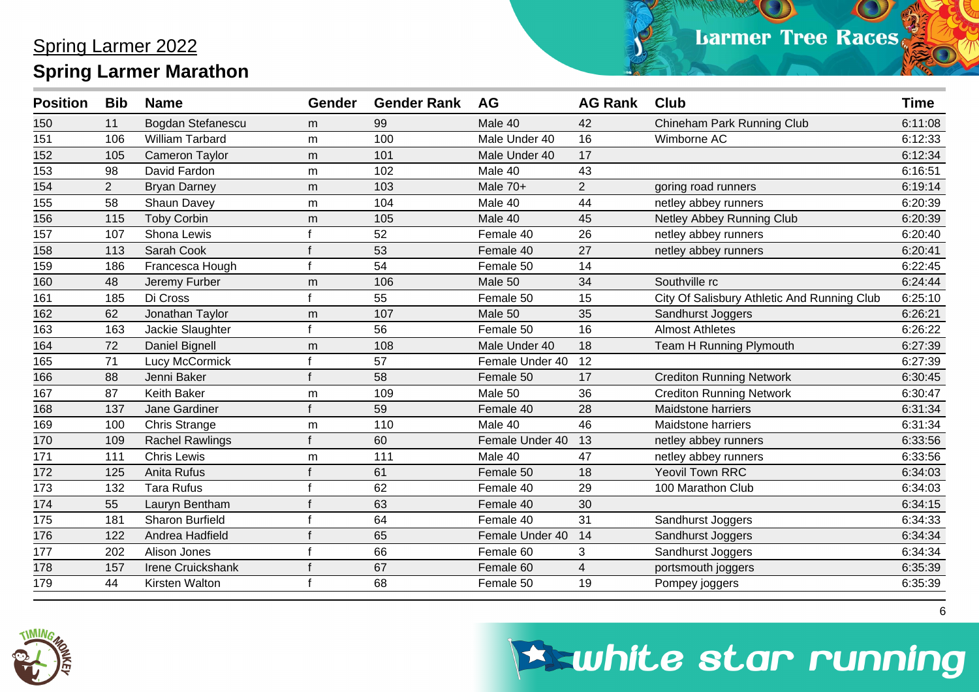| <b>Position</b> | <b>Bib</b>     | <b>Name</b>            | Gender | <b>Gender Rank</b> | <b>AG</b>       | <b>AG Rank</b> | <b>Club</b>                                 | <b>Time</b> |
|-----------------|----------------|------------------------|--------|--------------------|-----------------|----------------|---------------------------------------------|-------------|
| 150             | 11             | Bogdan Stefanescu      | m      | 99                 | Male 40         | 42             | Chineham Park Running Club                  | 6:11:08     |
| 151             | 106            | <b>William Tarbard</b> | m      | 100                | Male Under 40   | 16             | Wimborne AC                                 | 6:12:33     |
| 152             | 105            | <b>Cameron Taylor</b>  | m      | 101                | Male Under 40   | 17             |                                             | 6:12:34     |
| 153             | 98             | David Fardon           | m      | 102                | Male 40         | 43             |                                             | 6:16:51     |
| 154             | $\overline{2}$ | <b>Bryan Darney</b>    | m      | 103                | Male 70+        | $\overline{2}$ | goring road runners                         | 6:19:14     |
| 155             | 58             | Shaun Davey            | m      | 104                | Male 40         | 44             | netley abbey runners                        | 6:20:39     |
| 156             | 115            | <b>Toby Corbin</b>     | m      | 105                | Male 40         | 45             | Netley Abbey Running Club                   | 6:20:39     |
| 157             | 107            | Shona Lewis            |        | 52                 | Female 40       | 26             | netley abbey runners                        | 6:20:40     |
| 158             | 113            | Sarah Cook             |        | 53                 | Female 40       | 27             | netley abbey runners                        | 6:20:41     |
| 159             | 186            | Francesca Hough        | f      | 54                 | Female 50       | 14             |                                             | 6:22:45     |
| 160             | 48             | Jeremy Furber          | m      | 106                | Male 50         | 34             | Southville rc                               | 6:24:44     |
| 161             | 185            | Di Cross               |        | 55                 | Female 50       | 15             | City Of Salisbury Athletic And Running Club | 6:25:10     |
| 162             | 62             | Jonathan Taylor        | m      | 107                | Male 50         | 35             | Sandhurst Joggers                           | 6:26:21     |
| 163             | 163            | Jackie Slaughter       |        | 56                 | Female 50       | 16             | <b>Almost Athletes</b>                      | 6:26:22     |
| 164             | 72             | Daniel Bignell         | m      | 108                | Male Under 40   | 18             | <b>Team H Running Plymouth</b>              | 6:27:39     |
| 165             | 71             | Lucy McCormick         |        | 57                 | Female Under 40 | 12             |                                             | 6:27:39     |
| 166             | 88             | Jenni Baker            |        | 58                 | Female 50       | 17             | <b>Crediton Running Network</b>             | 6:30:45     |
| 167             | 87             | Keith Baker            | m      | 109                | Male 50         | 36             | <b>Crediton Running Network</b>             | 6:30:47     |
| 168             | 137            | Jane Gardiner          |        | 59                 | Female 40       | 28             | <b>Maidstone harriers</b>                   | 6:31:34     |
| 169             | 100            | Chris Strange          | m      | 110                | Male 40         | 46             | <b>Maidstone harriers</b>                   | 6:31:34     |
| 170             | 109            | <b>Rachel Rawlings</b> |        | 60                 | Female Under 40 | 13             | netley abbey runners                        | 6:33:56     |
| 171             | 111            | <b>Chris Lewis</b>     | m      | 111                | Male 40         | 47             | netley abbey runners                        | 6:33:56     |
| 172             | 125            | Anita Rufus            |        | 61                 | Female 50       | 18             | <b>Yeovil Town RRC</b>                      | 6:34:03     |
| 173             | 132            | <b>Tara Rufus</b>      |        | 62                 | Female 40       | 29             | 100 Marathon Club                           | 6:34:03     |
| 174             | 55             | Lauryn Bentham         |        | 63                 | Female 40       | 30             |                                             | 6:34:15     |
| 175             | 181            | <b>Sharon Burfield</b> |        | 64                 | Female 40       | 31             | Sandhurst Joggers                           | 6:34:33     |
| 176             | 122            | Andrea Hadfield        |        | 65                 | Female Under 40 | 14             | Sandhurst Joggers                           | 6:34:34     |
| 177             | 202            | Alison Jones           |        | 66                 | Female 60       | 3              | Sandhurst Joggers                           | 6:34:34     |
| 178             | 157            | Irene Cruickshank      |        | 67                 | Female 60       | $\overline{4}$ | portsmouth joggers                          | 6:35:39     |
| 179             | 44             | Kirsten Walton         |        | 68                 | Female 50       | 19             | Pompey joggers                              | 6:35:39     |



### **Eswhite star running**